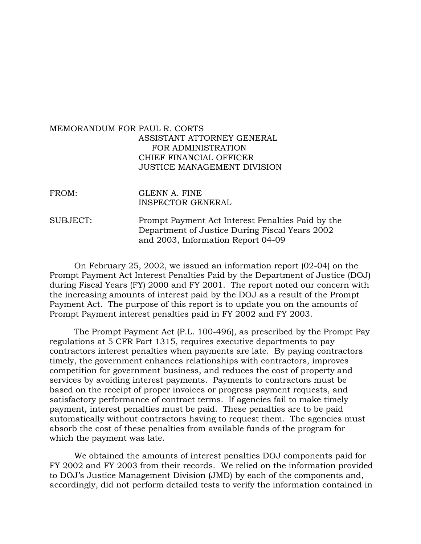## MEMORANDUM FOR PAUL R. CORTS ASSISTANT ATTORNEY GENERAL FOR ADMINISTRATION CHIEF FINANCIAL OFFICER JUSTICE MANAGEMENT DIVISION

| FROM:    | GLENN A. FINE<br><b>INSPECTOR GENERAL</b>                                                           |
|----------|-----------------------------------------------------------------------------------------------------|
| SUBJECT: | Prompt Payment Act Interest Penalties Paid by the<br>Department of Justice During Fiscal Years 2002 |
|          | and 2003, Information Report 04-09                                                                  |

On February 25, 2002, we issued an information report (02-04) on the Prompt Payment Act Interest Penalties Paid by the Department of Justice (DOJ) during Fiscal Years (FY) 2000 and FY 2001. The report noted our concern with the increasing amounts of interest paid by the DOJ as a result of the Prompt Payment Act. The purpose of this report is to update you on the amounts of Prompt Payment interest penalties paid in FY 2002 and FY 2003.

The Prompt Payment Act (P.L. 100-496), as prescribed by the Prompt Pay regulations at 5 CFR Part 1315, requires executive departments to pay contractors interest penalties when payments are late. By paying contractors timely, the government enhances relationships with contractors, improves competition for government business, and reduces the cost of property and services by avoiding interest payments. Payments to contractors must be based on the receipt of proper invoices or progress payment requests, and satisfactory performance of contract terms. If agencies fail to make timely payment, interest penalties must be paid. These penalties are to be paid automatically without contractors having to request them. The agencies must absorb the cost of these penalties from available funds of the program for which the payment was late.

We obtained the amounts of interest penalties DOJ components paid for FY 2002 and FY 2003 from their records. We relied on the information provided to DOJ's Justice Management Division (JMD) by each of the components and, accordingly, did not perform detailed tests to verify the information contained in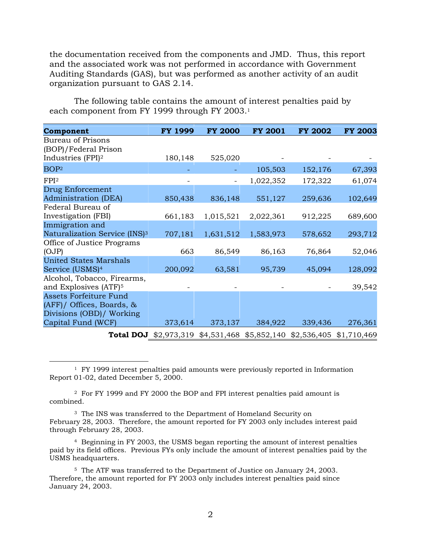the documentation received from the components and JMD. Thus, this report and the associated work was not performed in accordance with Government Auditing Standards (GAS), but was performed as another activity of an audit organization pursuant to GAS 2.14.

The following table contains the amount of interest penalties paid by each component from FY 1999 through FY 2003[.1](#page-1-0)

| Component                                 | <b>FY 1999</b> | <b>FY 2000</b>                                                        | <b>FY 2001</b> | <b>FY 2002</b> | <b>FY 2003</b> |
|-------------------------------------------|----------------|-----------------------------------------------------------------------|----------------|----------------|----------------|
| <b>Bureau of Prisons</b>                  |                |                                                                       |                |                |                |
| (BOP)/Federal Prison                      |                |                                                                       |                |                |                |
| Industries (FPI) <sup>2</sup>             | 180,148        | 525,020                                                               |                |                |                |
| BOP <sup>2</sup>                          |                |                                                                       | 105,503        | 152,176        | 67,393         |
| FPI <sup>2</sup>                          |                |                                                                       | 1,022,352      | 172,322        | 61,074         |
| Drug Enforcement                          |                |                                                                       |                |                |                |
| <b>Administration (DEA)</b>               | 850,438        | 836,148                                                               | 551,127        | 259,636        | 102,649        |
| Federal Bureau of                         |                |                                                                       |                |                |                |
| Investigation (FBI)                       | 661,183        | 1,015,521                                                             | 2,022,361      | 912,225        | 689,600        |
| Immigration and                           |                |                                                                       |                |                |                |
| Naturalization Service (INS) <sup>3</sup> | 707,181        | 1,631,512                                                             | 1,583,973      | 578,652        | 293,712        |
| Office of Justice Programs                |                |                                                                       |                |                |                |
| (OJP)                                     | 663            | 86,549                                                                | 86,163         | 76,864         | 52,046         |
| <b>United States Marshals</b>             |                |                                                                       |                |                |                |
| Service (USMS) <sup>4</sup>               | 200,092        | 63,581                                                                | 95,739         | 45,094         | 128,092        |
| Alcohol, Tobacco, Firearms,               |                |                                                                       |                |                |                |
| and Explosives (ATF) <sup>5</sup>         |                |                                                                       |                |                | 39,542         |
| <b>Assets Forfeiture Fund</b>             |                |                                                                       |                |                |                |
| (AFF)/ Offices, Boards, &                 |                |                                                                       |                |                |                |
| Divisions (OBD)/ Working                  |                |                                                                       |                |                |                |
| Capital Fund (WCF)                        | 373,614        | 373,137                                                               | 384,922        | 339,436        | 276,361        |
|                                           |                | Total DOJ \$2,973,319 \$4,531,468 \$5,852,140 \$2,536,405 \$1,710,469 |                |                |                |

<sup>1</sup> FY 1999 interest penalties paid amounts were previously reported in Information Report 01-02, dated December 5, 2000.

<span id="page-1-1"></span>2 For FY 1999 and FY 2000 the BOP and FPI interest penalties paid amount is combined.

<span id="page-1-0"></span> $\overline{a}$ 

<span id="page-1-2"></span><sup>3</sup> The INS was transferred to the Department of Homeland Security on February 28, 2003. Therefore, the amount reported for FY 2003 only includes interest paid through February 28, 2003.

<span id="page-1-3"></span>4 Beginning in FY 2003, the USMS began reporting the amount of interest penalties paid by its field offices. Previous FYs only include the amount of interest penalties paid by the USMS headquarters.

<span id="page-1-4"></span>5 The ATF was transferred to the Department of Justice on January 24, 2003. Therefore, the amount reported for FY 2003 only includes interest penalties paid since January 24, 2003.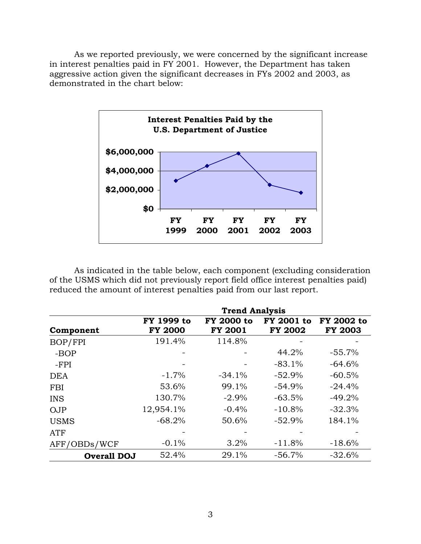As we reported previously, we were concerned by the significant increase in interest penalties paid in FY 2001. However, the Department has taken aggressive action given the significant decreases in FYs 2002 and 2003, as demonstrated in the chart below:



As indicated in the table below, each component (excluding consideration of the USMS which did not previously report field office interest penalties paid) reduced the amount of interest penalties paid from our last report.

|                    | <b>Trend Analysis</b>        |                                     |                                     |                              |  |  |  |
|--------------------|------------------------------|-------------------------------------|-------------------------------------|------------------------------|--|--|--|
| Component          | FY 1999 to<br><b>FY 2000</b> | <b>FY 2000 to</b><br><b>FY 2001</b> | <b>FY 2001 to</b><br><b>FY 2002</b> | FY 2002 to<br><b>FY 2003</b> |  |  |  |
| BOP/FPI            | 191.4%                       | 114.8%                              |                                     |                              |  |  |  |
| -BOP               |                              |                                     | 44.2%                               | $-55.7%$                     |  |  |  |
| $-FPI$             |                              |                                     | $-83.1%$                            | $-64.6%$                     |  |  |  |
| <b>DEA</b>         | $-1.7\%$                     | $-34.1%$                            | $-52.9%$                            | $-60.5%$                     |  |  |  |
| <b>FBI</b>         | 53.6%                        | 99.1%                               | $-54.9%$                            | $-24.4%$                     |  |  |  |
| <b>INS</b>         | 130.7%                       | $-2.9\%$                            | $-63.5%$                            | $-49.2%$                     |  |  |  |
| <b>OJP</b>         | 12,954.1%                    | $-0.4%$                             | $-10.8%$                            | $-32.3%$                     |  |  |  |
| <b>USMS</b>        | $-68.2%$                     | 50.6%                               | $-52.9%$                            | 184.1%                       |  |  |  |
| ATF                |                              |                                     |                                     |                              |  |  |  |
| AFF/OBDs/WCF       | $-0.1%$                      | 3.2%                                | $-11.8%$                            | $-18.6%$                     |  |  |  |
| <b>Overall DOJ</b> | 52.4%                        | 29.1%                               | $-56.7%$                            | $-32.6%$                     |  |  |  |